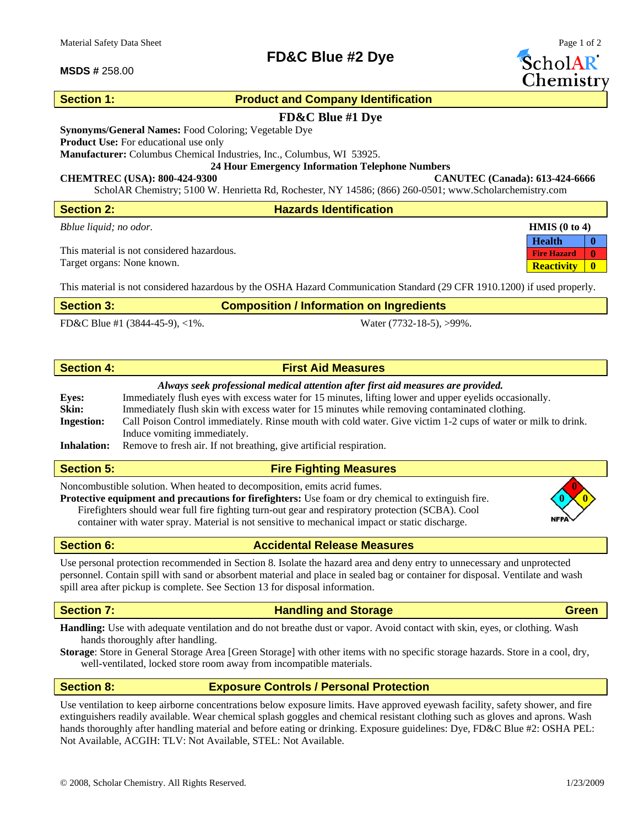## **MSDS #** 258.00

## **Section 1: Product and Company Identification**

**FD&C Blue #2 Dye** 

## **FD&C Blue #1 Dye**

**Synonyms/General Names:** Food Coloring; Vegetable Dye

**Product Use:** For educational use only

**Manufacturer:** Columbus Chemical Industries, Inc., Columbus, WI 53925.

**24 Hour Emergency Information Telephone Numbers** 

## **CHEMTREC (USA): 800-424-9300 CANUTEC (Canada): 613-424-6666**

ScholAR Chemistry; 5100 W. Henrietta Rd, Rochester, NY 14586; (866) 260-0501; www.Scholarchemistry.com

| <b>Section 2:</b>                          | <b>Hazards Identification</b> |                                    |
|--------------------------------------------|-------------------------------|------------------------------------|
| Bblue liquid; no odor.                     |                               | <b>HMIS</b> $(0 \text{ to } 4)$    |
|                                            |                               | <b>Health</b>                      |
| This material is not considered hazardous. |                               | $\mathbf{0}$<br><b>Fire Hazard</b> |
| Target organs: None known.                 |                               | $\mathbf{0}$<br><b>Reactivity</b>  |
|                                            |                               |                                    |

This material is not considered hazardous by the OSHA Hazard Communication Standard (29 CFR 1910.1200) if used properly.

| <b>Section 3:</b> | <b>Composition / Information on Ingredients</b> |
|-------------------|-------------------------------------------------|
|                   |                                                 |

FD&C Blue #1 (3844-45-9), <1%. Water (7732-18-5), >99%.

# **Section 4: First Aid Measures**

## *Always seek professional medical attention after first aid measures are provided.*

| <b>Eves:</b>       | Immediately flush eyes with excess water for 15 minutes, lifting lower and upper eyelids occasionally.        |
|--------------------|---------------------------------------------------------------------------------------------------------------|
| Skin:              | Immediately flush skin with excess water for 15 minutes while removing contaminated clothing.                 |
| <b>Ingestion:</b>  | Call Poison Control immediately. Rinse mouth with cold water. Give victim 1-2 cups of water or milk to drink. |
|                    | Induce vomiting immediately.                                                                                  |
| <b>Inhalation:</b> | Remove to fresh air. If not breathing, give artificial respiration.                                           |

## **Section 5:** Fire Fighting Measures

Noncombustible solution. When heated to decomposition, emits acrid fumes. **0**

**Protective equipment and precautions for firefighters:** Use foam or dry chemical to extinguish fire. **0 0** Firefighters should wear full fire fighting turn-out gear and respiratory protection (SCBA). Cool container with water spray. Material is not sensitive to mechanical impact or static discharge.

**Section 6:** Accidental Release Measures

Use personal protection recommended in Section 8. Isolate the hazard area and deny entry to unnecessary and unprotected personnel. Contain spill with sand or absorbent material and place in sealed bag or container for disposal. Ventilate and wash spill area after pickup is complete. See Section 13 for disposal information.

## **Section 7: Construction Construction Construction Construction Construction Construction Construction Construction Construction Construction Construction Construction Construction Construction Construction Construction**

**Handling:** Use with adequate ventilation and do not breathe dust or vapor. Avoid contact with skin, eyes, or clothing. Wash hands thoroughly after handling.

**Storage**: Store in General Storage Area [Green Storage] with other items with no specific storage hazards. Store in a cool, dry, well-ventilated, locked store room away from incompatible materials.

**Section 8: Exposure Controls / Personal Protection** 

Use ventilation to keep airborne concentrations below exposure limits. Have approved eyewash facility, safety shower, and fire extinguishers readily available. Wear chemical splash goggles and chemical resistant clothing such as gloves and aprons. Wash hands thoroughly after handling material and before eating or drinking. Exposure guidelines: Dye, FD&C Blue #2: OSHA PEL: Not Available, ACGIH: TLV: Not Available, STEL: Not Available.